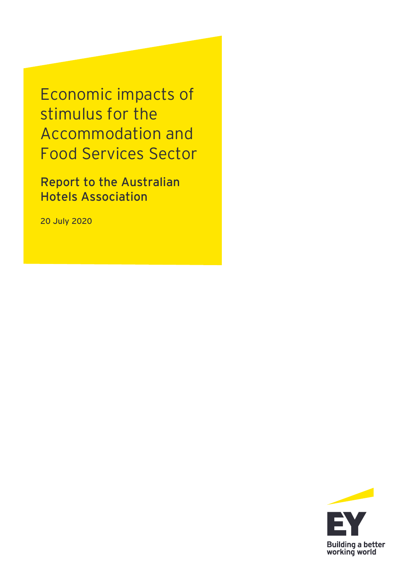Economic impacts of stimulus for the Accommodation and Food Services Sector

**Report to the Australian Hotels Association**

**20 July 2020**

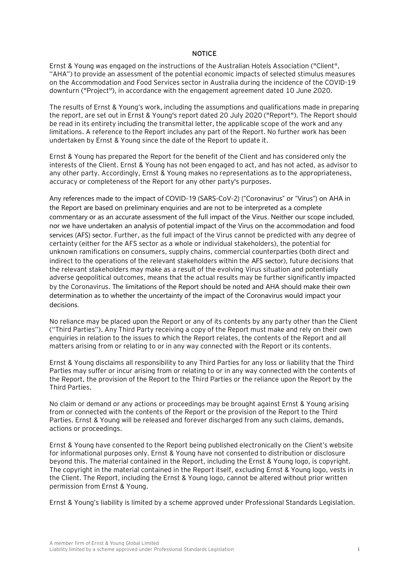#### **NOTICE**

Ernst & Young was engaged on the instructions of the Australian Hotels Association ("Client", "AHA") to provide an assessment of the potential economic impacts of selected stimulus measures on the Accommodation and Food Services sector in Australia during the incidence of the COVID-19 downturn ("Project"), in accordance with the engagement agreement dated 10 June 2020.

The results of Ernst & Young's work, including the assumptions and qualifications made in preparing the report, are set out in Ernst & Young's report dated 20 July 2020 ("Report"). The Report should be read in its entirety including the transmittal letter, the applicable scope of the work and any limitations. A reference to the Report includes any part of the Report. No further work has been undertaken by Ernst & Young since the date of the Report to update it.

Ernst & Young has prepared the Report for the benefit of the Client and has considered only the interests of the Client. Ernst & Young has not been engaged to act, and has not acted, as advisor to any other party. Accordingly, Ernst & Young makes no representations as to the appropriateness, accuracy or completeness of the Report for any other party's purposes.

Any references made to the impact of COVID-19 (SARS-CoV-2) ("Coronavirus" or "Virus") on AHA in the Report are based on preliminary enquiries and are not to be interpreted as a complete commentary or as an accurate assessment of the full impact of the Virus. Neither our scope included, nor we have undertaken an analysis of potential impact of the Virus on the accommodation and food services (AFS) sector. Further, as the full impact of the Virus cannot be predicted with any degree of certainty (either for the AFS sector as a whole or individual stakeholders), the potential for unknown ramifications on consumers, supply chains, commercial counterparties (both direct and indirect to the operations of the relevant stakeholders within the AFS sector), future decisions that the relevant stakeholders may make as a result of the evolving Virus situation and potentially adverse geopolitical outcomes, means that the actual results may be further significantly impacted by the Coronavirus. The limitations of the Report should be noted and AHA should make their own determination as to whether the uncertainty of the impact of the Coronavirus would impact your decisions.

No reliance may be placed upon the Report or any of its contents by any party other than the Client ("Third Parties"). Any Third Party receiving a copy of the Report must make and rely on their own enquiries in relation to the issues to which the Report relates, the contents of the Report and all matters arising from or relating to or in any way connected with the Report or its contents.

Ernst & Young disclaims all responsibility to any Third Parties for any loss or liability that the Third Parties may suffer or incur arising from or relating to or in any way connected with the contents of the Report, the provision of the Report to the Third Parties or the reliance upon the Report by the Third Parties.

No claim or demand or any actions or proceedings may be brought against Ernst & Young arising from or connected with the contents of the Report or the provision of the Report to the Third Parties. Ernst & Young will be released and forever discharged from any such claims, demands, actions or proceedings.

Ernst & Young have consented to the Report being published electronically on the Client's website for informational purposes only. Ernst & Young have not consented to distribution or disclosure beyond this. The material contained in the Report, including the Ernst & Young logo, is copyright. The copyright in the material contained in the Report itself, excluding Ernst & Young logo, vests in the Client. The Report, including the Ernst & Young logo, cannot be altered without prior written permission from Ernst & Young.

Ernst & Young's liability is limited by a scheme approved under Professional Standards Legislation.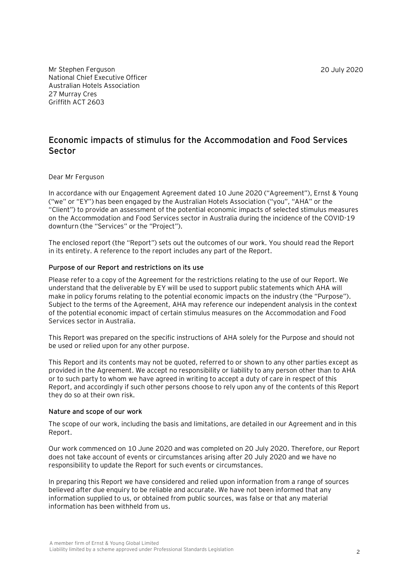20 July 2020

Mr Stephen Ferguson National Chief Executive Officer Australian Hotels Association 27 Murray Cres Griffith ACT 2603

### **Economic impacts of stimulus for the Accommodation and Food Services Sector**

### Dear Mr Ferguson

In accordance with our Engagement Agreement dated 10 June 2020 ("Agreement"), Ernst & Young ("we" or "EY") has been engaged by the Australian Hotels Association ("you", "AHA" or the "Client") to provide an assessment of the potential economic impacts of selected stimulus measures on the Accommodation and Food Services sector in Australia during the incidence of the COVID-19 downturn (the "Services" or the "Project").

The enclosed report (the "Report") sets out the outcomes of our work. You should read the Report in its entirety. A reference to the report includes any part of the Report.

### **Purpose of our Report and restrictions on its use**

Please refer to a copy of the Agreement for the restrictions relating to the use of our Report. We understand that the deliverable by EY will be used to support public statements which AHA will make in policy forums relating to the potential economic impacts on the industry (the "Purpose"). Subject to the terms of the Agreement, AHA may reference our independent analysis in the context of the potential economic impact of certain stimulus measures on the Accommodation and Food Services sector in Australia.

This Report was prepared on the specific instructions of AHA solely for the Purpose and should not be used or relied upon for any other purpose.

This Report and its contents may not be quoted, referred to or shown to any other parties except as provided in the Agreement. We accept no responsibility or liability to any person other than to AHA or to such party to whom we have agreed in writing to accept a duty of care in respect of this Report, and accordingly if such other persons choose to rely upon any of the contents of this Report they do so at their own risk.

#### **Nature and scope of our work**

The scope of our work, including the basis and limitations, are detailed in our Agreement and in this Report.

Our work commenced on 10 June 2020 and was completed on 20 July 2020. Therefore, our Report does not take account of events or circumstances arising after 20 July 2020 and we have no responsibility to update the Report for such events or circumstances.

In preparing this Report we have considered and relied upon information from a range of sources believed after due enquiry to be reliable and accurate. We have not been informed that any information supplied to us, or obtained from public sources, was false or that any material information has been withheld from us.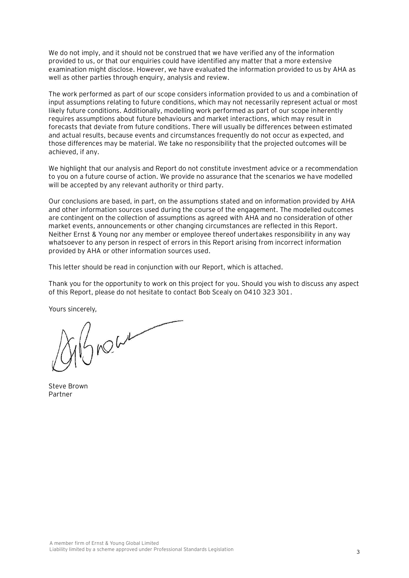We do not imply, and it should not be construed that we have verified any of the information provided to us, or that our enquiries could have identified any matter that a more extensive examination might disclose. However, we have evaluated the information provided to us by AHA as well as other parties through enquiry, analysis and review.

The work performed as part of our scope considers information provided to us and a combination of input assumptions relating to future conditions, which may not necessarily represent actual or most likely future conditions. Additionally, modelling work performed as part of our scope inherently requires assumptions about future behaviours and market interactions, which may result in forecasts that deviate from future conditions. There will usually be differences between estimated and actual results, because events and circumstances frequently do not occur as expected, and those differences may be material. We take no responsibility that the projected outcomes will be achieved, if any.

We highlight that our analysis and Report do not constitute investment advice or a recommendation to you on a future course of action. We provide no assurance that the scenarios we have modelled will be accepted by any relevant authority or third party.

Our conclusions are based, in part, on the assumptions stated and on information provided by AHA and other information sources used during the course of the engagement. The modelled outcomes are contingent on the collection of assumptions as agreed with AHA and no consideration of other market events, announcements or other changing circumstances are reflected in this Report. Neither Ernst & Young nor any member or employee thereof undertakes responsibility in any way whatsoever to any person in respect of errors in this Report arising from incorrect information provided by AHA or other information sources used.

This letter should be read in conjunction with our Report, which is attached.

Thank you for the opportunity to work on this project for you. Should you wish to discuss any aspect of this Report, please do not hesitate to contact Bob Scealy on 0410 323 301.

Yours sincerely,

ANOWN

Steve Brown Partner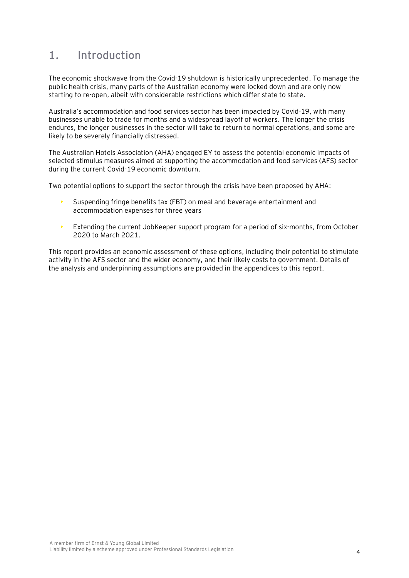## **1. Introduction**

The economic shockwave from the Covid-19 shutdown is historically unprecedented. To manage the public health crisis, many parts of the Australian economy were locked down and are only now starting to re-open, albeit with considerable restrictions which differ state to state.

Australia's accommodation and food services sector has been impacted by Covid-19, with many businesses unable to trade for months and a widespread layoff of workers. The longer the crisis endures, the longer businesses in the sector will take to return to normal operations, and some are likely to be severely financially distressed.

The Australian Hotels Association (AHA) engaged EY to assess the potential economic impacts of selected stimulus measures aimed at supporting the accommodation and food services (AFS) sector during the current Covid-19 economic downturn.

Two potential options to support the sector through the crisis have been proposed by AHA:

- Suspending fringe benefits tax (FBT) on meal and beverage entertainment and accommodation expenses for three years
- Extending the current JobKeeper support program for a period of six-months, from October 2020 to March 2021.

This report provides an economic assessment of these options, including their potential to stimulate activity in the AFS sector and the wider economy, and their likely costs to government. Details of the analysis and underpinning assumptions are provided in the appendices to this report.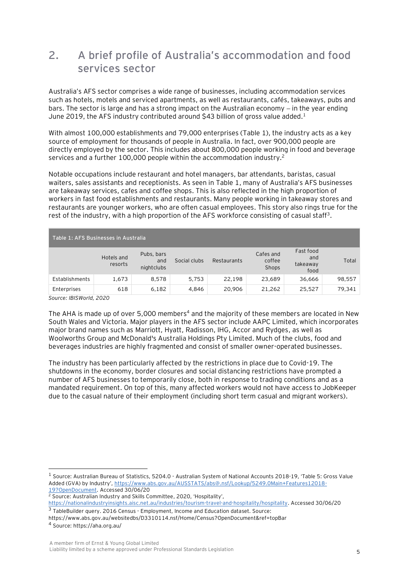## **2. A brief profile of Australia's accommodation and food services sector**

Australia's AFS sector comprises a wide range of businesses, including accommodation services such as hotels, motels and serviced apartments, as well as restaurants, cafés, takeaways, pubs and bars. The sector is large and has a strong impact on the Australian economy − in the year ending June 2019, the AFS industry contributed around \$43 billion of gross value added.<sup>1</sup>

With almost 100,000 establishments and 79,000 enterprises (Table 1), the industry acts as a key source of employment for thousands of people in Australia. In fact, over 900,000 people are directly employed by the sector. This includes about 800,000 people working in food and beverage services and a further 100,000 people within the accommodation industry.<sup>2</sup>

Notable occupations include restaurant and hotel managers, bar attendants, baristas, casual waiters, sales assistants and receptionists. As seen in Table 1, many of Australia's AFS businesses are takeaway services, cafes and coffee shops. This is also reflected in the high proportion of workers in fast food establishments and restaurants. Many people working in takeaway stores and restaurants are younger workers, who are often casual employees. This story also rings true for the rest of the industry, with a high proportion of the AFS workforce consisting of casual staff<sup>3</sup>.

| Table 1: AFS Businesses in Australia |                       |                                 |              |             |                              |                                      |        |
|--------------------------------------|-----------------------|---------------------------------|--------------|-------------|------------------------------|--------------------------------------|--------|
|                                      | Hotels and<br>resorts | Pubs, bars<br>and<br>nightclubs | Social clubs | Restaurants | Cafes and<br>coffee<br>Shops | Fast food<br>and<br>takeaway<br>food | Total  |
| Establishments                       | 1,673                 | 8.578                           | 5.753        | 22.198      | 23.689                       | 36,666                               | 98,557 |
| Enterprises                          | 618                   | 6,182                           | 4,846        | 20,906      | 21,262                       | 25,527                               | 79,341 |
| Course IDICINARIA 2020               |                       |                                 |              |             |                              |                                      |        |

*Source: IBISWorld, 2020*

The AHA is made up of over 5,000 members<sup>4</sup> and the majority of these members are located in New South Wales and Victoria. Major players in the AFS sector include AAPC Limited, which incorporates major brand names such as Marriott, Hyatt, Radisson, IHG, Accor and Rydges, as well as Woolworths Group and McDonald's Australia Holdings Pty Limited. Much of the clubs, food and beverages industries are highly fragmented and consist of smaller owner-operated businesses.

The industry has been particularly affected by the restrictions in place due to Covid-19. The shutdowns in the economy, border closures and social distancing restrictions have prompted a number of AFS businesses to temporarily close, both in response to trading conditions and as a mandated requirement. On top of this, many affected workers would not have access to JobKeeper due to the casual nature of their employment (including short term casual and migrant workers).

<sup>&</sup>lt;sup>1</sup> Source: Australian Bureau of Statistics, 5204.0 - Australian System of National Accounts 2018-19, 'Table 5: Gross Value Added (GVA) by Industry', [https://www.abs.gov.au/AUSSTATS/abs@.nsf/Lookup/5249.0Main+Features12018-](https://www.abs.gov.au/AUSSTATS/abs@.nsf/Lookup/5249.0Main+Features12018-19?OpenDocument)  $\frac{19?0 \text{penDocument}}{2}$ . Accessed 30/06/20

<sup>2</sup> Source: Australian Industry and Skills Committee, 2020, 'Hospitality',

[https://nationalindustryinsights.aisc.net.au/industries/tourism-travel-and-hospitality/hospitality.](https://nationalindustryinsights.aisc.net.au/industries/tourism-travel-and-hospitality/hospitality) Accessed 30/06/20

<sup>&</sup>lt;sup>3</sup> TableBuilder query. 2016 Census - Employment, Income and Education dataset. Source: https://www.abs.gov.au/websitedbs/D3310114.nsf/Home/Census?OpenDocument&ref=topBar

<sup>4</sup> Source: https://aha.org.au/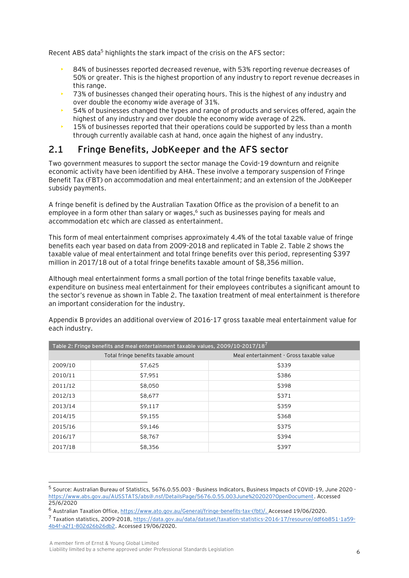Recent ABS data<sup>5</sup> highlights the stark impact of the crisis on the AFS sector:

- 84% of businesses reported decreased revenue, with 53% reporting revenue decreases of 50% or greater. This is the highest proportion of any industry to report revenue decreases in this range.
- 73% of businesses changed their operating hours. This is the highest of any industry and over double the economy wide average of 31%.
- 54% of businesses changed the types and range of products and services offered, again the highest of any industry and over double the economy wide average of 22%.
- 15% of businesses reported that their operations could be supported by less than a month through currently available cash at hand, once again the highest of any industry.

## **2.1 Fringe Benefits, JobKeeper and the AFS sector**

Two government measures to support the sector manage the Covid-19 downturn and reignite economic activity have been identified by AHA. These involve a temporary suspension of Fringe Benefit Tax (FBT) on accommodation and meal entertainment; and an extension of the JobKeeper subsidy payments.

A fringe benefit is defined by the Australian Taxation Office as the provision of a benefit to an employee in a form other than salary or wages,<sup>6</sup> such as businesses paying for meals and accommodation etc which are classed as entertainment.

This form of meal entertainment comprises approximately 4.4% of the total taxable value of fringe benefits each year based on data from 2009-2018 and replicated in Table 2. Table 2 shows the taxable value of meal entertainment and total fringe benefits over this period, representing \$397 million in 2017/18 out of a total fringe benefits taxable amount of \$8,356 million.

Although meal entertainment forms a small portion of the total fringe benefits taxable value, expenditure on business meal entertainment for their employees contributes a significant amount to the sector's revenue as shown in Table 2. The taxation treatment of meal entertainment is therefore an important consideration for the industry.

**Table 2: Fringe benefits and meal entertainment taxable values, 2009/10-2017/18<sup>7</sup>** Total fringe benefits taxable amount Meal entertainment - Gross taxable value 2009/10 \$7,625 \$339 2010/11 | \$7,951 \$7,951 \$386 2011/12 \$8,050 \$398  $2012/13$   $\sqrt{58,677}$   $\sqrt{5371}$  $2013/14$   $\sqrt{59,117}$   $\sqrt{5359}$  $2014/15$  \$9,155 \$368  $2015/16$   $\downarrow$   $\frac{1}{2015/16}$   $\frac{1}{2015/16}$   $\frac{1}{2015/16}$   $\frac{1}{2015/16}$   $\frac{1}{2015/16}$ 2016/17 | \$8,767 \$394 \$394 2017/18 | \$8,356 \$397

Appendix B provides an additional overview of 2016-17 gross taxable meal entertainment value for each industry.

<sup>&</sup>lt;sup>5</sup> Source: Australian Bureau of Statistics, 5676.0.55.003 - Business Indicators, Business Impacts of COVID-19, June 2020 [https://www.abs.gov.au/AUSSTATS/abs@.nsf/DetailsPage/5676.0.55.003June%202020?OpenDocument.](https://www.abs.gov.au/AUSSTATS/abs@.nsf/DetailsPage/5676.0.55.003June%202020?OpenDocument) Accessed 25/6/2020

<sup>6</sup> Australian Taxation Office, [https://www.ato.gov.au/General/fringe-benefits-tax-\(fbt\)/.](https://www.ato.gov.au/General/fringe-benefits-tax-(fbt)/) Accessed 19/06/2020.

<sup>7</sup> Taxation statistics, 2009-2018[, https://data.gov.au/data/dataset/taxation-statistics-2016-17/resource/ddf6b851-1a59-](https://data.gov.au/data/dataset/taxation-statistics-2016-17/resource/ddf6b851-1a59-4b4f-a2f1-802d26b26db2) [4b4f-a2f1-802d26b26db2.](https://data.gov.au/data/dataset/taxation-statistics-2016-17/resource/ddf6b851-1a59-4b4f-a2f1-802d26b26db2) Accessed 19/06/2020.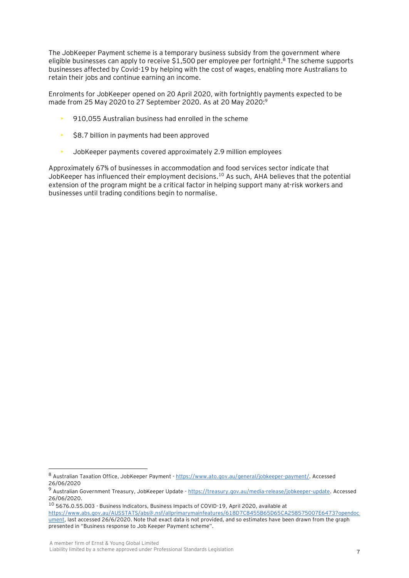The JobKeeper Payment scheme is a temporary business subsidy from the government where eligible businesses can apply to receive \$1,500 per employee per fortnight.<sup>8</sup> The scheme supports businesses affected by Covid-19 by helping with the cost of wages, enabling more Australians to retain their jobs and continue earning an income.

Enrolments for JobKeeper opened on 20 April 2020, with fortnightly payments expected to be made from 25 May 2020 to 27 September 2020. As at 20 May 2020:<sup>9</sup>

- 910,055 Australian business had enrolled in the scheme
- $\cdot$  \$8.7 billion in payments had been approved
- JobKeeper payments covered approximately 2.9 million employees

Approximately 67% of businesses in accommodation and food services sector indicate that JobKeeper has influenced their employment decisions.<sup>10</sup> As such, AHA believes that the potential extension of the program might be a critical factor in helping support many at-risk workers and businesses until trading conditions begin to normalise.

<sup>8</sup> Australian Taxation Office, JobKeeper Payment - [https://www.ato.gov.au/general/jobkeeper-payment/.](https://www.ato.gov.au/general/jobkeeper-payment/) Accessed 26/06/2020

<sup>9</sup> Australian Government Treasury, JobKeeper Update - [https://treasury.gov.au/media-release/jobkeeper-update.](https://treasury.gov.au/media-release/jobkeeper-update) Accessed 26/06/2020.

<sup>10</sup> 5676.0.55.003 - Business Indicators, Business Impacts of COVID-19, April 2020, available at [https://www.abs.gov.au/AUSSTATS/abs@.nsf/allprimarymainfeatures/618D7C8455B65D65CA258575007E6473?opendoc](https://www.abs.gov.au/AUSSTATS/abs@.nsf/allprimarymainfeatures/618D7C8455B65D65CA258575007E6473?opendocument) [ument,](https://www.abs.gov.au/AUSSTATS/abs@.nsf/allprimarymainfeatures/618D7C8455B65D65CA258575007E6473?opendocument) last accessed 26/6/2020. Note that exact data is not provided, and so estimates have been drawn from the graph presented in "Business response to Job Keeper Payment scheme".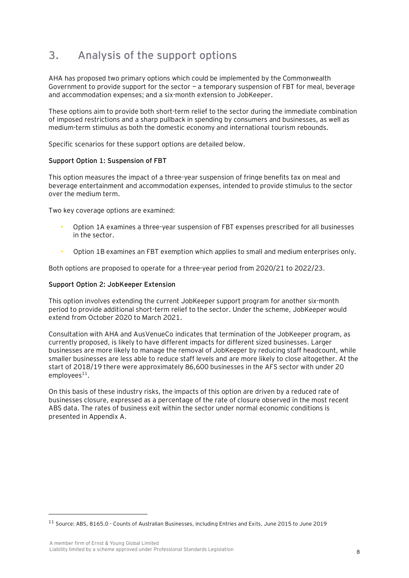# **3. Analysis of the support options**

AHA has proposed two primary options which could be implemented by the Commonwealth Government to provide support for the sector  $-$  a temporary suspension of FBT for meal, beverage and accommodation expenses; and a six-month extension to JobKeeper.

These options aim to provide both short-term relief to the sector during the immediate combination of imposed restrictions and a sharp pullback in spending by consumers and businesses, as well as medium-term stimulus as both the domestic economy and international tourism rebounds.

Specific scenarios for these support options are detailed below.

### **Support Option 1: Suspension of FBT**

This option measures the impact of a three-year suspension of fringe benefits tax on meal and beverage entertainment and accommodation expenses, intended to provide stimulus to the sector over the medium term.

Two key coverage options are examined:

- Option 1A examines a three-year suspension of FBT expenses prescribed for all businesses in the sector.
- Option 1B examines an FBT exemption which applies to small and medium enterprises only.

Both options are proposed to operate for a three-year period from 2020/21 to 2022/23.

### **Support Option 2: JobKeeper Extension**

This option involves extending the current JobKeeper support program for another six-month period to provide additional short-term relief to the sector. Under the scheme, JobKeeper would extend from October 2020 to March 2021.

Consultation with AHA and AusVenueCo indicates that termination of the JobKeeper program, as currently proposed, is likely to have different impacts for different sized businesses. Larger businesses are more likely to manage the removal of JobKeeper by reducing staff headcount, while smaller businesses are less able to reduce staff levels and are more likely to close altogether. At the start of 2018/19 there were approximately 86,600 businesses in the AFS sector with under 20  $employees<sup>11</sup>$ .

On this basis of these industry risks, the impacts of this option are driven by a reduced rate of businesses closure, expressed as a percentage of the rate of closure observed in the most recent ABS data. The rates of business exit within the sector under normal economic conditions is presented in Appendix A.

<sup>11</sup> Source: ABS, 8165.0 - Counts of Australian Businesses, including Entries and Exits, June 2015 to June 2019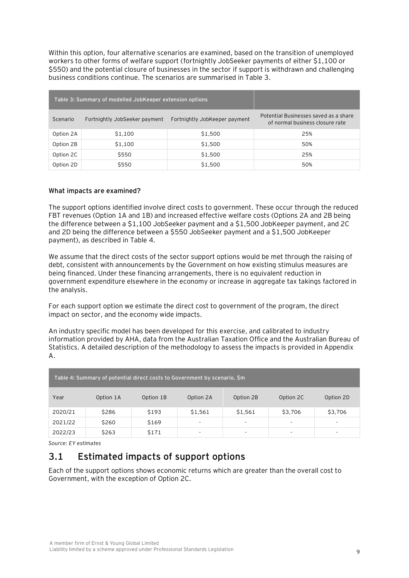Within this option, four alternative scenarios are examined, based on the transition of unemployed workers to other forms of welfare support (fortnightly JobSeeker payments of either \$1,100 or \$550) and the potential closure of businesses in the sector if support is withdrawn and challenging business conditions continue. The scenarios are summarised in Table 3.

|           | Table 3: Summary of modelled JobKeeper extension options |                               |                                                                          |
|-----------|----------------------------------------------------------|-------------------------------|--------------------------------------------------------------------------|
| Scenario  | Fortnightly JobSeeker payment                            | Fortnightly JobKeeper payment | Potential Businesses saved as a share<br>of normal business closure rate |
| Option 2A | \$1,100                                                  | \$1,500                       | 25%                                                                      |
| Option 2B | \$1,100                                                  | \$1,500                       | 50%                                                                      |
| Option 2C | \$550                                                    | \$1,500                       | 25%                                                                      |
| Option 2D | \$550                                                    | \$1,500                       | 50%                                                                      |

### **What impacts are examined?**

The support options identified involve direct costs to government. These occur through the reduced FBT revenues (Option 1A and 1B) and increased effective welfare costs (Options 2A and 2B being the difference between a \$1,100 JobSeeker payment and a \$1,500 JobKeeper payment, and 2C and 2D being the difference between a \$550 JobSeeker payment and a \$1,500 JobKeeper payment), as described in Table 4.

We assume that the direct costs of the sector support options would be met through the raising of debt, consistent with announcements by the Government on how existing stimulus measures are being financed. Under these financing arrangements, there is no equivalent reduction in government expenditure elsewhere in the economy or increase in aggregate tax takings factored in the analysis.

For each support option we estimate the direct cost to government of the program, the direct impact on sector, and the economy wide impacts.

An industry specific model has been developed for this exercise, and calibrated to industry information provided by AHA, data from the Australian Taxation Office and the Australian Bureau of Statistics. A detailed description of the methodology to assess the impacts is provided in Appendix A.

| Table 4: Summary of potential direct costs to Government by scenario, \$m |           |           |                          |                          |                          |                          |
|---------------------------------------------------------------------------|-----------|-----------|--------------------------|--------------------------|--------------------------|--------------------------|
| Year                                                                      | Option 1A | Option 1B | Option 2A                | Option 2B                | Option 2C                | Option 2D                |
| 2020/21                                                                   | \$286     | \$193     | \$1,561                  | \$1,561                  | \$3,706                  | \$3,706                  |
| 2021/22                                                                   | \$260     | \$169     | $\overline{\phantom{a}}$ | $\overline{\phantom{a}}$ | $\overline{\phantom{a}}$ | $\overline{\phantom{a}}$ |
| 2022/23                                                                   | \$263     | \$171     | ۰                        | $\overline{\phantom{a}}$ | $\overline{\phantom{a}}$ | -                        |

*Source: EY estimates*

### **3.1 Estimated impacts of support options**

Each of the support options shows economic returns which are greater than the overall cost to Government, with the exception of Option 2C.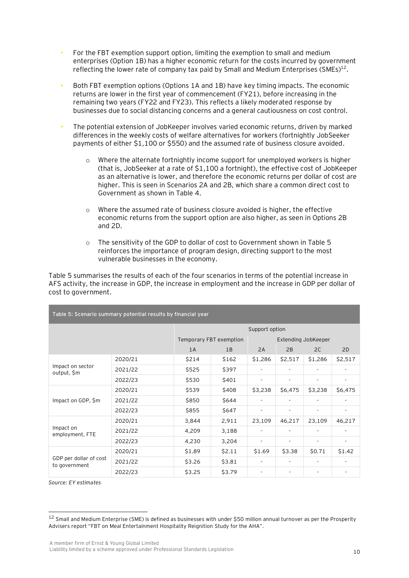- For the FBT exemption support option, limiting the exemption to small and medium enterprises (Option 1B) has a higher economic return for the costs incurred by government reflecting the lower rate of company tax paid by Small and Medium Enterprises (SMEs)<sup>12</sup>.
- Both FBT exemption options (Options 1A and 1B) have key timing impacts. The economic returns are lower in the first year of commencement (FY21), before increasing in the remaining two years (FY22 and FY23). This reflects a likely moderated response by businesses due to social distancing concerns and a general cautiousness on cost control.
- The potential extension of JobKeeper involves varied economic returns, driven by marked differences in the weekly costs of welfare alternatives for workers (fortnightly JobSeeker payments of either \$1,100 or \$550) and the assumed rate of business closure avoided.
	- $\circ$  Where the alternate fortnightly income support for unemployed workers is higher (that is, JobSeeker at a rate of \$1,100 a fortnight), the effective cost of JobKeeper as an alternative is lower, and therefore the economic returns per dollar of cost are higher. This is seen in Scenarios 2A and 2B, which share a common direct cost to Government as shown in Table 4.
	- o Where the assumed rate of business closure avoided is higher, the effective economic returns from the support option are also higher, as seen in Options 2B and 2D.
	- o The sensitivity of the GDP to dollar of cost to Government shown in Table 5 reinforces the importance of program design, directing support to the most vulnerable businesses in the economy.

Table 5 summarises the results of each of the four scenarios in terms of the potential increase in AFS activity, the increase in GDP, the increase in employment and the increase in GDP per dollar of cost to government.

| Table 5: Scenario summary potential results by financial year |         |                         |        |                          |         |                          |         |
|---------------------------------------------------------------|---------|-------------------------|--------|--------------------------|---------|--------------------------|---------|
| Support option                                                |         |                         |        |                          |         |                          |         |
|                                                               |         | Temporary FBT exemption |        |                          |         | Extending JobKeeper      |         |
|                                                               |         | 1A                      | 1B     | 2A                       | 2B      | 2C                       | 2D      |
|                                                               | 2020/21 | \$214                   | \$162  | \$1,286                  | \$2,517 | \$1,286                  | \$2,517 |
| Impact on sector<br>output, \$m                               | 2021/22 | \$525                   | \$397  |                          |         |                          |         |
|                                                               | 2022/23 | \$530                   | \$401  |                          |         | $\overline{\phantom{a}}$ | ٠       |
|                                                               | 2020/21 | \$539                   | \$408  | \$3,238                  | \$6,475 | \$3,238                  | \$6,475 |
| Impact on GDP, \$m                                            | 2021/22 | \$850                   | \$644  |                          |         |                          |         |
|                                                               | 2022/23 | \$855                   | \$647  |                          |         | $\overline{\phantom{a}}$ | ۰.      |
|                                                               | 2020/21 | 3,844                   | 2,911  | 23,109                   | 46,217  | 23,109                   | 46,217  |
| Impact on<br>employment, FTE                                  | 2021/22 | 4,209                   | 3,188  | $\overline{\phantom{a}}$ |         | $\overline{\phantom{a}}$ | ۰.      |
|                                                               | 2022/23 | 4,230                   | 3,204  |                          |         |                          |         |
| GDP per dollar of cost<br>to government                       | 2020/21 | \$1.89                  | \$2.11 | \$1.69                   | \$3.38  | \$0.71                   | \$1.42  |
|                                                               | 2021/22 | \$3.26                  | \$3.81 |                          |         |                          |         |
|                                                               | 2022/23 | \$3.25                  | \$3.79 |                          |         | ٠                        |         |

*Source: EY estimates*

<sup>&</sup>lt;sup>12</sup> Small and Medium Enterprise (SME) is defined as businesses with under \$50 million annual turnover as per the Prosperity Advisers report "FBT on Meal Entertainment Hospitality Reignition Study for the AHA".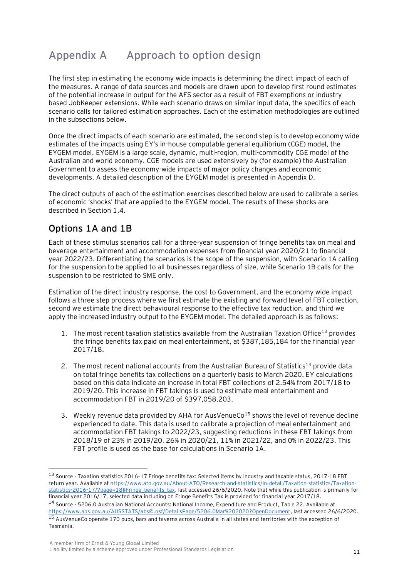# **Appendix A Approach to option design**

The first step in estimating the economy wide impacts is determining the direct impact of each of the measures. A range of data sources and models are drawn upon to develop first round estimates of the potential increase in output for the AFS sector as a result of FBT exemptions or industry based JobKeeper extensions. While each scenario draws on similar input data, the specifics of each scenario calls for tailored estimation approaches. Each of the estimation methodologies are outlined in the subsections below.

Once the direct impacts of each scenario are estimated, the second step is to develop economy wide estimates of the impacts using EY's in-house computable general equilibrium (CGE) model, the EYGEM model. EYGEM is a large scale, dynamic, multi-region, multi-commodity CGE model of the Australian and world economy. CGE models are used extensively by (for example) the Australian Government to assess the economy-wide impacts of major policy changes and economic developments. A detailed description of the EYGEM model is presented in Appendix D.

The direct outputs of each of the estimation exercises described below are used to calibrate a series of economic 'shocks' that are applied to the EYGEM model. The results of these shocks are described in Section 1.4.

## **Options 1A and 1B**

Each of these stimulus scenarios call for a three-year suspension of fringe benefits tax on meal and beverage entertainment and accommodation expenses from financial year 2020/21 to financial year 2022/23. Differentiating the scenarios is the scope of the suspension, with Scenario 1A calling for the suspension to be applied to all businesses regardless of size, while Scenario 1B calls for the suspension to be restricted to SME only.

Estimation of the direct industry response, the cost to Government, and the economy wide impact follows a three step process where we first estimate the existing and forward level of FBT collection, second we estimate the direct behavioural response to the effective tax reduction, and third we apply the increased industry output to the EYGEM model. The detailed approach is as follows:

- 1. The most recent taxation statistics available from the Australian Taxation Office<sup>13</sup> provides the fringe benefits tax paid on meal entertainment, at \$387,185,184 for the financial year 2017/18.
- 2. The most recent national accounts from the Australian Bureau of Statistics<sup>14</sup> provide data on total fringe benefits tax collections on a quarterly basis to March 2020. EY calculations based on this data indicate an increase in total FBT collections of 2.54% from 2017/18 to 2019/20. This increase in FBT takings is used to estimate meal entertainment and accommodation FBT in 2019/20 of \$397,058,203.
- 3. Weekly revenue data provided by AHA for AusVenueCo<sup>15</sup> shows the level of revenue decline experienced to date. This data is used to calibrate a projection of meal entertainment and accommodation FBT takings to 2022/23, suggesting reductions in these FBT takings from 2018/19 of 23% in 2019/20, 26% in 2020/21, 11% in 2021/22, and 0% in 2022/23. This FBT profile is used as the base for calculations in Scenario 1A.

<sup>13</sup> Source - Taxation statistics 2016–17 Fringe benefits tax: Selected items by industry and taxable status, 2017-18 FBT return year. Available at [https://www.ato.gov.au/About-ATO/Research-and-statistics/In-detail/Taxation-statistics/Taxation](https://www.ato.gov.au/About-ATO/Research-and-statistics/In-detail/Taxation-statistics/Taxation-statistics-2016-17/?page=18#Fringe_benefits_tax)[statistics-2016-17/?page=18#Fringe\\_benefits\\_tax,](https://www.ato.gov.au/About-ATO/Research-and-statistics/In-detail/Taxation-statistics/Taxation-statistics-2016-17/?page=18#Fringe_benefits_tax) last accessed 26/6/2020. Note that while this publication is primarily for financial year 2016/17, selected data including on Fringe Benefits Tax is provided for financial year 2017/18. <sup>14</sup> Source - 5206.0 Australian National Accounts: National Income, Expenditure and Product, Table 22. Available at [https://www.abs.gov.au/AUSSTATS/abs@.nsf/DetailsPage/5206.0Mar%202020?OpenDocument,](https://www.abs.gov.au/AUSSTATS/abs@.nsf/DetailsPage/5206.0Mar%202020?OpenDocument) last accessed 26/6/2020. <sup>15</sup> AusVenueCo operate 170 pubs, bars and taverns across Australia in all states and territories with the exception of Tasmania.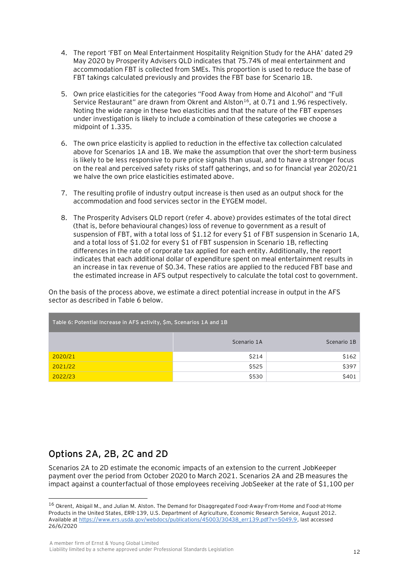- 4. The report 'FBT on Meal Entertainment Hospitality Reignition Study for the AHA' dated 29 May 2020 by Prosperity Advisers QLD indicates that 75.74% of meal entertainment and accommodation FBT is collected from SMEs. This proportion is used to reduce the base of FBT takings calculated previously and provides the FBT base for Scenario 1B.
- 5. Own price elasticities for the categories "Food Away from Home and Alcohol" and "Full Service Restaurant" are drawn from Okrent and Alston<sup>16</sup>, at 0.71 and 1.96 respectively. Noting the wide range in these two elasticities and that the nature of the FBT expenses under investigation is likely to include a combination of these categories we choose a midpoint of 1.335.
- 6. The own price elasticity is applied to reduction in the effective tax collection calculated above for Scenarios 1A and 1B. We make the assumption that over the short-term business is likely to be less responsive to pure price signals than usual, and to have a stronger focus on the real and perceived safety risks of staff gatherings, and so for financial year 2020/21 we halve the own price elasticities estimated above.
- 7. The resulting profile of industry output increase is then used as an output shock for the accommodation and food services sector in the EYGEM model.
- 8. The Prosperity Advisers QLD report (refer 4. above) provides estimates of the total direct (that is, before behavioural changes) loss of revenue to government as a result of suspension of FBT, with a total loss of \$1.12 for every \$1 of FBT suspension in Scenario 1A, and a total loss of \$1.02 for every \$1 of FBT suspension in Scenario 1B, reflecting differences in the rate of corporate tax applied for each entity. Additionally, the report indicates that each additional dollar of expenditure spent on meal entertainment results in an increase in tax revenue of \$0.34. These ratios are applied to the reduced FBT base and the estimated increase in AFS output respectively to calculate the total cost to government.

On the basis of the process above, we estimate a direct potential increase in output in the AFS sector as described in Table 6 below.

| Table 6: Potential Increase in AFS activity, \$m, Scenarios 1A and 1B |             |             |  |
|-----------------------------------------------------------------------|-------------|-------------|--|
|                                                                       | Scenario 1A | Scenario 1B |  |
| 2020/21                                                               | \$214       | \$162       |  |
| 2021/22                                                               | \$525       | \$397       |  |
| 2022/23                                                               | \$530       | \$401       |  |

### **Options 2A, 2B, 2C and 2D**

Scenarios 2A to 2D estimate the economic impacts of an extension to the current JobKeeper payment over the period from October 2020 to March 2021. Scenarios 2A and 2B measures the impact against a counterfactual of those employees receiving JobSeeker at the rate of \$1,100 per

<sup>16</sup> Okrent, Abigail M., and Julian M. Alston. The Demand for Disaggregated Food-Away-From-Home and Food-at-Home Products in the United States, ERR-139, U.S. Department of Agriculture, Economic Research Service, August 2012. Available a[t https://www.ers.usda.gov/webdocs/publications/45003/30438\\_err139.pdf?v=5049.9,](https://www.ers.usda.gov/webdocs/publications/45003/30438_err139.pdf?v=5049.9) last accessed 26/6/2020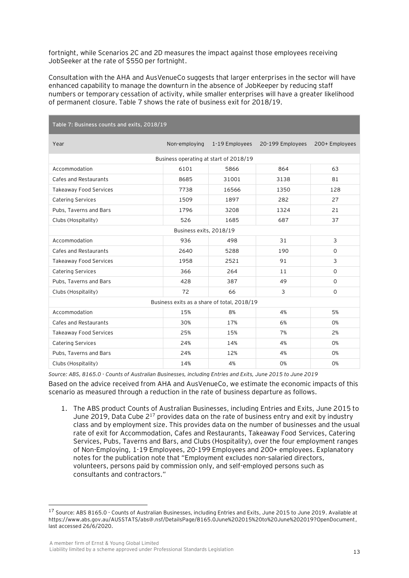fortnight, while Scenarios 2C and 2D measures the impact against those employees receiving JobSeeker at the rate of \$550 per fortnight.

Consultation with the AHA and AusVenueCo suggests that larger enterprises in the sector will have enhanced capability to manage the downturn in the absence of JobKeeper by reducing staff numbers or temporary cessation of activity, while smaller enterprises will have a greater likelihood of permanent closure. Table 7 shows the rate of business exit for 2018/19.

| Table 7: Business counts and exits, 2018/19 |                                        |                                             |                  |                |  |  |
|---------------------------------------------|----------------------------------------|---------------------------------------------|------------------|----------------|--|--|
| Year                                        | Non-employing                          | 1-19 Employees                              | 20-199 Employees | 200+ Employees |  |  |
|                                             | Business operating at start of 2018/19 |                                             |                  |                |  |  |
| Accommodation                               | 6101                                   | 5866                                        | 864              | 63             |  |  |
| Cafes and Restaurants                       | 8685                                   | 31001                                       | 3138             | 81             |  |  |
| <b>Takeaway Food Services</b>               | 7738                                   | 16566                                       | 1350             | 128            |  |  |
| <b>Catering Services</b>                    | 1509                                   | 1897                                        | 282              | 27             |  |  |
| Pubs, Taverns and Bars                      | 1796                                   | 3208                                        | 1324             | 21             |  |  |
| Clubs (Hospitality)                         | 526                                    | 1685                                        | 687              | 37             |  |  |
|                                             | Business exits, 2018/19                |                                             |                  |                |  |  |
| Accommodation                               | 936                                    | 498                                         | 31               | 3              |  |  |
| Cafes and Restaurants                       | 2640                                   | 5288                                        | 190              | $\mathbf{O}$   |  |  |
| <b>Takeaway Food Services</b>               | 1958                                   | 2521                                        | 91               | 3              |  |  |
| <b>Catering Services</b>                    | 366                                    | 264                                         | 11               | $\mathbf{O}$   |  |  |
| Pubs, Taverns and Bars                      | 428                                    | 387                                         | 49               | $\mathbf{O}$   |  |  |
| Clubs (Hospitality)                         | 72                                     | 66                                          | 3                | $\mathbf 0$    |  |  |
|                                             |                                        | Business exits as a share of total, 2018/19 |                  |                |  |  |
| Accommodation                               | 15%                                    | 8%                                          | 4%               | 5%             |  |  |
| Cafes and Restaurants                       | 30%                                    | 17%                                         | 6%               | <b>O%</b>      |  |  |
| <b>Takeaway Food Services</b>               | 25%                                    | 15%                                         | 7%               | 2%             |  |  |
| Catering Services                           | 24%                                    | 14%                                         | 4%               | <b>O%</b>      |  |  |
| Pubs, Taverns and Bars                      | 24%                                    | 12%                                         | 4%               | 0%             |  |  |
| Clubs (Hospitality)                         | 14%                                    | 4%                                          | <b>O%</b>        | <b>O%</b>      |  |  |

*Source: ABS, 8165.0 - Counts of Australian Businesses, including Entries and Exits, June 2015 to June 2019* Based on the advice received from AHA and AusVenueCo, we estimate the economic impacts of this scenario as measured through a reduction in the rate of business departure as follows.

1. The ABS product Counts of Australian Businesses, including Entries and Exits, June 2015 to June 2019, Data Cube  $2^{17}$  provides data on the rate of business entry and exit by industry class and by employment size. This provides data on the number of businesses and the usual rate of exit for Accommodation, Cafes and Restaurants, Takeaway Food Services, Catering Services, Pubs, Taverns and Bars, and Clubs (Hospitality), over the four employment ranges of Non-Employing, 1-19 Employees, 20-199 Employees and 200+ employees. Explanatory notes for the publication note that "Employment excludes non-salaried directors, volunteers, persons paid by commission only, and self-employed persons such as consultants and contractors."

<sup>&</sup>lt;sup>17</sup> Source: ABS 8165.0 - Counts of Australian Businesses, including Entries and Exits, June 2015 to June 2019. Available at https://www.abs.gov.au/AUSSTATS/abs@.nsf/DetailsPage/8165.0June%202015%20to%20June%202019?OpenDocument, last accessed 26/6/2020.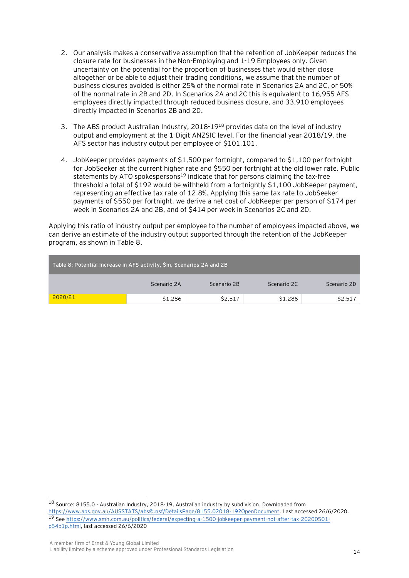- 2. Our analysis makes a conservative assumption that the retention of JobKeeper reduces the closure rate for businesses in the Non-Employing and 1-19 Employees only. Given uncertainty on the potential for the proportion of businesses that would either close altogether or be able to adjust their trading conditions, we assume that the number of business closures avoided is either 25% of the normal rate in Scenarios 2A and 2C, or 50% of the normal rate in 2B and 2D. In Scenarios 2A and 2C this is equivalent to 16,955 AFS employees directly impacted through reduced business closure, and 33,910 employees directly impacted in Scenarios 2B and 2D.
- 3. The ABS product Australian Industry, 2018-19<sup>18</sup> provides data on the level of industry output and employment at the 1-Digit ANZSIC level. For the financial year 2018/19, the AFS sector has industry output per employee of \$101,101.
- 4. JobKeeper provides payments of \$1,500 per fortnight, compared to \$1,100 per fortnight for JobSeeker at the current higher rate and \$550 per fortnight at the old lower rate. Public statements by ATO spokespersons<sup>19</sup> indicate that for persons claiming the tax-free threshold a total of \$192 would be withheld from a fortnightly \$1,100 JobKeeper payment, representing an effective tax rate of 12.8%. Applying this same tax rate to JobSeeker payments of \$550 per fortnight, we derive a net cost of JobKeeper per person of \$174 per week in Scenarios 2A and 2B, and of \$414 per week in Scenarios 2C and 2D.

Applying this ratio of industry output per employee to the number of employees impacted above, we can derive an estimate of the industry output supported through the retention of the JobKeeper program, as shown in Table 8.

| Table 8: Potential Increase in AFS activity, \$m, Scenarios 2A and 2B |             |             |             |             |  |
|-----------------------------------------------------------------------|-------------|-------------|-------------|-------------|--|
|                                                                       | Scenario 2A | Scenario 2B | Scenario 2C | Scenario 2D |  |
| 2020/21                                                               | \$1,286     | \$2,517     | \$1,286     | \$2,517     |  |

<sup>18</sup> Source: 8155.0 - Australian Industry, 2018-19, Australian industry by subdivision. Downloaded from [https://www.abs.gov.au/AUSSTATS/abs@.nsf/DetailsPage/8155.02018-19?OpenDocument.](https://www.abs.gov.au/AUSSTATS/abs@.nsf/DetailsPage/8155.02018-19?OpenDocument) Last accessed 26/6/2020. <sup>19</sup> Se[e https://www.smh.com.au/politics/federal/expecting-a-1500-jobkeeper-payment-not-after-tax-20200501](https://www.smh.com.au/politics/federal/expecting-a-1500-jobkeeper-payment-not-after-tax-20200501-p54p1p.html) [p54p1p.html,](https://www.smh.com.au/politics/federal/expecting-a-1500-jobkeeper-payment-not-after-tax-20200501-p54p1p.html) last accessed 26/6/2020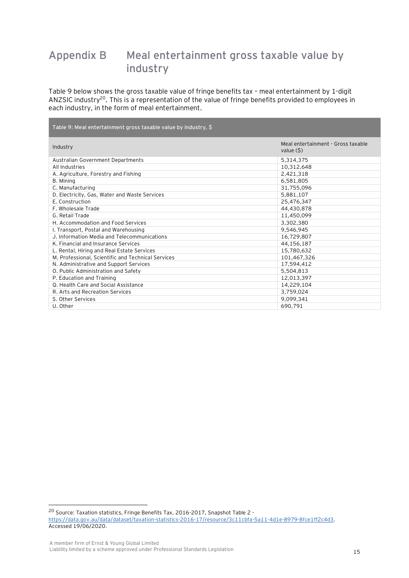# **Appendix B Meal entertainment gross taxable value by industry**

Table 9 below shows the gross taxable value of fringe benefits tax – meal entertainment by 1-digit ANZSIC industry<sup>20</sup>. This is a representation of the value of fringe benefits provided to employees in each industry, in the form of meal entertainment.

| Table 9: Meal entertainment gross taxable value by industry, \$ |                                                   |
|-----------------------------------------------------------------|---------------------------------------------------|
| Industry                                                        | Meal entertainment - Gross taxable<br>value $(5)$ |
| Australian Government Departments                               | 5,314,375                                         |
| All Industries                                                  | 10,312,648                                        |
| A. Agriculture, Forestry and Fishing                            | 2,421,318                                         |
| B. Mining                                                       | 6,581,805                                         |
| C. Manufacturing                                                | 31,755,096                                        |
| D. Electricity, Gas, Water and Waste Services                   | 5,881,107                                         |
| E. Construction                                                 | 25,476,347                                        |
| F. Wholesale Trade                                              | 44,430,878                                        |
| G. Retail Trade                                                 | 11,450,099                                        |
| H. Accommodation and Food Services                              | 3,302,380                                         |
| I. Transport, Postal and Warehousing                            | 9,546,945                                         |
| J. Information Media and Telecommunications                     | 16,729,807                                        |
| K. Financial and Insurance Services                             | 44,156,187                                        |
| L. Rental, Hiring and Real Estate Services                      | 15,780,632                                        |
| M. Professional, Scientific and Technical Services              | 101,467,326                                       |
| N. Administrative and Support Services                          | 17,594,412                                        |
| O. Public Administration and Safety                             | 5,504,813                                         |
| P. Education and Training                                       | 12,013,397                                        |
| Q. Health Care and Social Assistance                            | 14,229,104                                        |
| R. Arts and Recreation Services                                 | 3,759,024                                         |
| S. Other Services                                               | 9,099,341                                         |
| U. Other                                                        | 690,791                                           |

<sup>20</sup> Source: Taxation statistics, Fringe Benefits Tax, 2016-2017, Snapshot Table 2 [https://data.gov.au/data/dataset/taxation-statistics-2016-17/resource/3c11cbfa-5a11-4d1e-8979-8fce1ff2c4d3.](https://data.gov.au/data/dataset/taxation-statistics-2016-17/resource/3c11cbfa-5a11-4d1e-8979-8fce1ff2c4d3) Accessed 19/06/2020.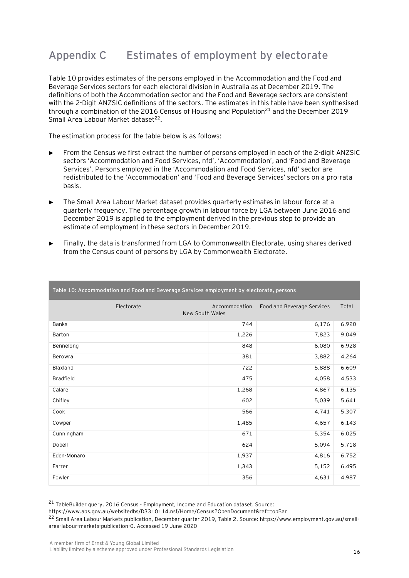# **Appendix C Estimates of employment by electorate**

Table 10 provides estimates of the persons employed in the Accommodation and the Food and Beverage Services sectors for each electoral division in Australia as at December 2019. The definitions of both the Accommodation sector and the Food and Beverage sectors are consistent with the 2-Digit ANZSIC definitions of the sectors. The estimates in this table have been synthesised through a combination of the 2016 Census of Housing and Population<sup>21</sup> and the December 2019 Small Area Labour Market dataset<sup>22</sup>.

The estimation process for the table below is as follows:

- ► From the Census we first extract the number of persons employed in each of the 2-digit ANZSIC sectors 'Accommodation and Food Services, nfd', 'Accommodation', and 'Food and Beverage Services'. Persons employed in the 'Accommodation and Food Services, nfd' sector are redistributed to the 'Accommodation' and 'Food and Beverage Services' sectors on a pro-rata basis.
- The Small Area Labour Market dataset provides quarterly estimates in labour force at a quarterly frequency. The percentage growth in labour force by LGA between June 2016 and December 2019 is applied to the employment derived in the previous step to provide an estimate of employment in these sectors in December 2019.
- Finally, the data is transformed from LGA to Commonwealth Electorate, using shares derived from the Census count of persons by LGA by Commonwealth Electorate.

| Table 10: Accommodation and Food and Beverage Services employment by electorate, persons |               |                            |       |  |  |  |
|------------------------------------------------------------------------------------------|---------------|----------------------------|-------|--|--|--|
| Electorate<br>New South Wales                                                            | Accommodation | Food and Beverage Services | Total |  |  |  |
| <b>Banks</b>                                                                             | 744           | 6,176                      | 6,920 |  |  |  |
| <b>Barton</b>                                                                            | 1,226         | 7,823                      | 9,049 |  |  |  |
| Bennelong                                                                                | 848           | 6,080                      | 6,928 |  |  |  |
| Berowra                                                                                  | 381           | 3,882                      | 4,264 |  |  |  |
| Blaxland                                                                                 | 722           | 5,888                      | 6,609 |  |  |  |
| <b>Bradfield</b>                                                                         | 475           | 4,058                      | 4,533 |  |  |  |
| Calare                                                                                   | 1,268         | 4,867                      | 6,135 |  |  |  |
| Chifley                                                                                  | 602           | 5,039                      | 5,641 |  |  |  |
| Cook                                                                                     | 566           | 4,741                      | 5,307 |  |  |  |
| Cowper                                                                                   | 1,485         | 4,657                      | 6,143 |  |  |  |
| Cunningham                                                                               | 671           | 5,354                      | 6,025 |  |  |  |
| Dobell                                                                                   | 624           | 5,094                      | 5,718 |  |  |  |
| Eden-Monaro                                                                              | 1,937         | 4,816                      | 6,752 |  |  |  |
| Farrer                                                                                   | 1,343         | 5,152                      | 6,495 |  |  |  |
| Fowler                                                                                   | 356           | 4,631                      | 4,987 |  |  |  |

<sup>21</sup> TableBuilder query. 2016 Census - Employment, Income and Education dataset. Source:

https://www.abs.gov.au/websitedbs/D3310114.nsf/Home/Census?OpenDocument&ref=topBar

<sup>22</sup> Small Area Labour Markets publication, December quarter 2019, Table 2. Source: https://www.employment.gov.au/smallarea-labour-markets-publication-0. Accessed 19 June 2020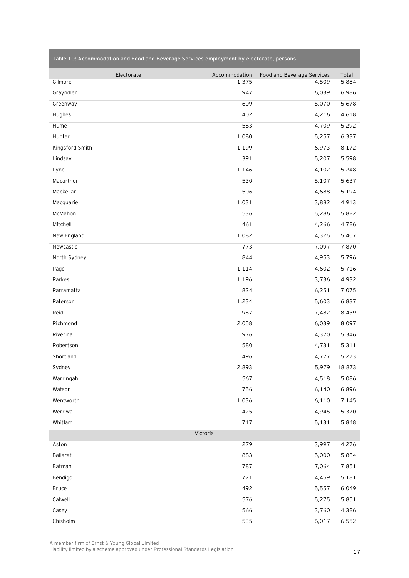|  |  | Table 10: Accommodation and Food and Beverage Services employment by electorate, persons |
|--|--|------------------------------------------------------------------------------------------|
|--|--|------------------------------------------------------------------------------------------|

| Electorate      | Accommodation | Food and Beverage Services | Total  |
|-----------------|---------------|----------------------------|--------|
| Gilmore         | 1,375         | 4,509                      | 5,884  |
| Grayndler       | 947           | 6,039                      | 6,986  |
| Greenway        | 609           | 5,070                      | 5,678  |
| Hughes          | 402           | 4,216                      | 4,618  |
| Hume            | 583           | 4,709                      | 5,292  |
| Hunter          | 1,080         | 5,257                      | 6,337  |
| Kingsford Smith | 1,199         | 6,973                      | 8,172  |
| Lindsay         | 391           | 5,207                      | 5,598  |
| Lyne            | 1,146         | 4,102                      | 5,248  |
| Macarthur       | 530           | 5,107                      | 5,637  |
| Mackellar       | 506           | 4,688                      | 5,194  |
| Macquarie       | 1,031         | 3,882                      | 4,913  |
| McMahon         | 536           | 5,286                      | 5,822  |
| Mitchell        | 461           | 4,266                      | 4,726  |
| New England     | 1,082         | 4,325                      | 5,407  |
| Newcastle       | 773           | 7,097                      | 7,870  |
| North Sydney    | 844           | 4,953                      | 5,796  |
| Page            | 1,114         | 4,602                      | 5,716  |
| Parkes          | 1,196         | 3,736                      | 4,932  |
| Parramatta      | 824           | 6,251                      | 7,075  |
| Paterson        | 1,234         | 5,603                      | 6,837  |
| Reid            | 957           | 7,482                      | 8,439  |
| Richmond        | 2,058         | 6,039                      | 8,097  |
| Riverina        | 976           | 4,370                      | 5,346  |
| Robertson       | 580           | 4,731                      | 5,311  |
| Shortland       | 496           | 4,777                      | 5,273  |
| Sydney          | 2,893         | 15,979                     | 18,873 |
| Warringah       | 567           | 4,518                      | 5,086  |
| Watson          | 756           | 6,140                      | 6,896  |
| Wentworth       | 1,036         | 6,110                      | 7,145  |
| Werriwa         | 425           | 4,945                      | 5,370  |
| Whitlam         | 717           | 5,131                      | 5,848  |
| Victoria        |               |                            |        |
| Aston           | 279           | 3,997                      | 4,276  |
| <b>Ballarat</b> | 883           | 5,000                      | 5,884  |
| Batman          | 787           | 7,064                      | 7,851  |
| Bendigo         | 721           | 4,459                      | 5,181  |
| <b>Bruce</b>    | 492           | 5,557                      | 6,049  |
| Calwell         | 576           | 5,275                      | 5,851  |
| Casey           | 566           | 3,760                      | 4,326  |
| Chisholm        | 535           | 6,017                      | 6,552  |

A member firm of Ernst & Young Global Limited

Liability limited by a scheme approved under Professional Standards Legislation 17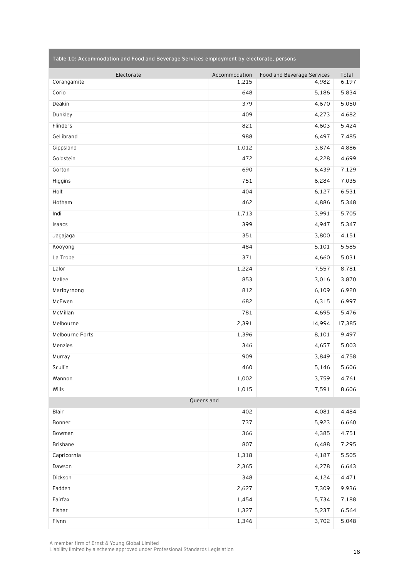| Electorate      | Accommodation | Food and Beverage Services | Total  |
|-----------------|---------------|----------------------------|--------|
| Corangamite     | 1,215         | 4,982                      | 6,197  |
| Corio           | 648           | 5,186                      | 5,834  |
| Deakin          | 379           | 4,670                      | 5,050  |
| Dunkley         | 409           | 4,273                      | 4,682  |
| Flinders        | 821           | 4,603                      | 5,424  |
| Gellibrand      | 988           | 6,497                      | 7,485  |
| Gippsland       | 1,012         | 3,874                      | 4,886  |
| Goldstein       | 472           | 4,228                      | 4,699  |
| Gorton          | 690           | 6,439                      | 7,129  |
| Higgins         | 751           | 6,284                      | 7,035  |
| Holt            | 404           | 6,127                      | 6,531  |
| Hotham          | 462           | 4,886                      | 5,348  |
| Indi            | 1,713         | 3,991                      | 5,705  |
| Isaacs          | 399           | 4,947                      | 5,347  |
| Jagajaga        | 351           | 3,800                      | 4,151  |
| Kooyong         | 484           | 5,101                      | 5,585  |
| La Trobe        | 371           | 4,660                      | 5,031  |
| Lalor           | 1,224         | 7,557                      | 8,781  |
| Mallee          | 853           | 3,016                      | 3,870  |
| Maribyrnong     | 812           | 6,109                      | 6,920  |
| McEwen          | 682           | 6,315                      | 6,997  |
| McMillan        | 781           | 4,695                      | 5,476  |
| Melbourne       | 2,391         | 14,994                     | 17,385 |
| Melbourne Ports | 1,396         | 8,101                      | 9,497  |
| Menzies         | 346           | 4,657                      | 5,003  |
| Murray          | 909           | 3,849                      | 4,758  |
| Scullin         | 460           | 5,146                      | 5,606  |
| Wannon          | 1,002         | 3,759                      | 4,761  |
| Wills           | 1,015         | 7,591                      | 8,606  |
| Queensland      |               |                            |        |
| Blair           | 402           | 4,081                      | 4,484  |
| Bonner          | 737           | 5,923                      | 6,660  |
| Bowman          | 366           | 4,385                      | 4,751  |
| Brisbane        | 807           | 6,488                      | 7,295  |
| Capricornia     | 1,318         | 4,187                      | 5,505  |
| Dawson          | 2,365         | 4,278                      | 6,643  |
| Dickson         | 348           | 4,124                      | 4,471  |
| Fadden          | 2,627         | 7,309                      | 9,936  |
| Fairfax         | 1,454         | 5,734                      | 7,188  |
| Fisher          | 1,327         | 5,237                      | 6,564  |
| Flynn           | 1,346         | 3,702                      | 5,048  |

**Table 10: Accommodation and Food and Beverage Services employment by electorate, persons**

A member firm of Ernst & Young Global Limited

Liability limited by a scheme approved under Professional Standards Legislation 18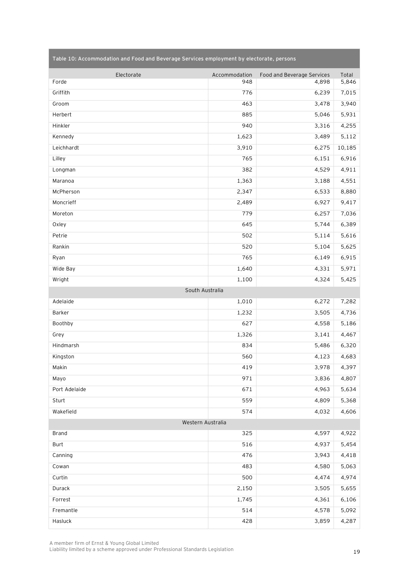| Electorate<br>Forde | Accommodation<br>948 | Food and Beverage Services<br>4,898 | Total<br>5,846 |  |
|---------------------|----------------------|-------------------------------------|----------------|--|
| Griffith            | 776                  | 6,239                               | 7,015          |  |
| Groom               | 463                  | 3,478                               | 3,940          |  |
| Herbert             | 885                  | 5,046                               | 5,931          |  |
| Hinkler             | 940                  | 3,316                               | 4,255          |  |
| Kennedy             | 1,623                | 3,489                               | 5,112          |  |
| Leichhardt          | 3,910                | 6,275                               | 10,185         |  |
| Lilley              | 765                  | 6,151                               | 6,916          |  |
| Longman             | 382                  | 4,529                               | 4,911          |  |
| Maranoa             | 1,363                | 3,188                               | 4,551          |  |
| McPherson           | 2,347                | 6,533                               | 8,880          |  |
| Moncrieff           | 2,489                | 6,927                               | 9,417          |  |
| Moreton             | 779                  | 6,257                               | 7,036          |  |
| Oxley               | 645                  | 5,744                               | 6,389          |  |
| Petrie              | 502                  | 5,114                               | 5,616          |  |
| Rankin              | 520                  | 5,104                               | 5,625          |  |
| Ryan                | 765                  | 6,149                               | 6,915          |  |
| Wide Bay            | 1,640                | 4,331                               | 5,971          |  |
| Wright              | 1,100                | 4,324                               | 5,425          |  |
| South Australia     |                      |                                     |                |  |
| Adelaide            | 1,010                | 6,272                               | 7,282          |  |
| Barker              | 1,232                | 3,505                               | 4,736          |  |
| Boothby             | 627                  | 4,558                               | 5,186          |  |
| Grey                | 1,326                | 3,141                               | 4,467          |  |
| Hindmarsh           | 834                  | 5,486                               | 6,320          |  |
| Kingston            | 560                  | 4,123                               | 4,683          |  |
| Makin               | 419                  | 3,978                               | 4,397          |  |
| Mayo                | 971                  | 3,836                               | 4,807          |  |
| Port Adelaide       | 671                  | 4,963                               | 5,634          |  |
| Sturt               | 559                  | 4,809                               | 5,368          |  |
| Wakefield           | 574                  | 4,032                               | 4,606          |  |
| Western Australia   |                      |                                     |                |  |
| <b>Brand</b>        | 325                  | 4,597                               | 4,922          |  |
| <b>Burt</b>         | 516                  | 4,937                               | 5,454          |  |
| Canning             | 476                  | 3,943                               | 4,418          |  |
| Cowan               | 483                  | 4,580                               | 5,063          |  |
| Curtin              | 500                  | 4,474                               | 4,974          |  |
| Durack              | 2,150                | 3,505                               | 5,655          |  |
| Forrest             | 1,745                | 4,361                               | 6,106          |  |
| Fremantle           | 514                  | 4,578                               | 5,092          |  |
| Hasluck             | 428                  | 3,859                               | 4,287          |  |

**Table 10: Accommodation and Food and Beverage Services employment by electorate, persons**

A member firm of Ernst & Young Global Limited

Liability limited by a scheme approved under Professional Standards Legislation 19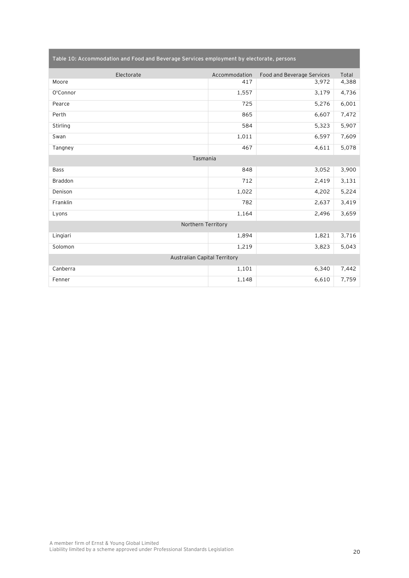| Electorate                   | Accommodation | Food and Beverage Services | Total |  |
|------------------------------|---------------|----------------------------|-------|--|
| Moore                        | 417           | 3,972                      | 4,388 |  |
| O'Connor                     | 1,557         | 3,179                      | 4,736 |  |
| Pearce                       | 725           | 5,276                      | 6,001 |  |
| Perth                        | 865           | 6,607                      | 7,472 |  |
| Stirling                     | 584           | 5,323                      | 5,907 |  |
| Swan                         | 1,011         | 6,597                      | 7,609 |  |
| Tangney                      | 467           | 4,611                      | 5,078 |  |
| Tasmania                     |               |                            |       |  |
| <b>Bass</b>                  | 848           | 3,052                      | 3,900 |  |
| <b>Braddon</b>               | 712           | 2,419                      | 3,131 |  |
| Denison                      | 1,022         | 4,202                      | 5,224 |  |
| Franklin                     | 782           | 2,637                      | 3,419 |  |
| Lyons                        | 1,164         | 2,496                      | 3,659 |  |
| Northern Territory           |               |                            |       |  |
| Lingiari                     | 1,894         | 1,821                      | 3,716 |  |
| Solomon                      | 1,219         | 3,823                      | 5,043 |  |
| Australian Capital Territory |               |                            |       |  |
| Canberra                     | 1,101         | 6,340                      | 7,442 |  |
| Fenner                       | 1,148         | 6,610                      | 7,759 |  |

**Table 10: Accommodation and Food and Beverage Services employment by electorate, persons**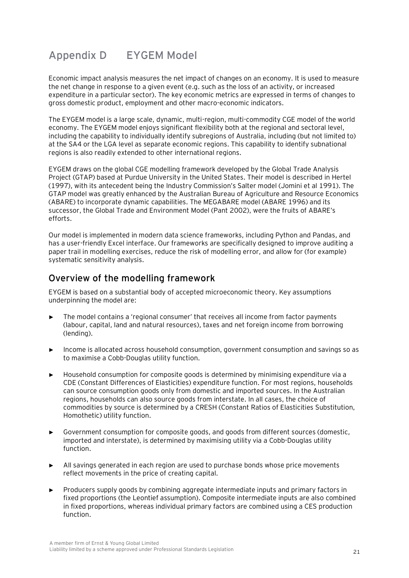# **Appendix D EYGEM Model**

Economic impact analysis measures the net impact of changes on an economy. It is used to measure the net change in response to a given event (e.g. such as the loss of an activity, or increased expenditure in a particular sector). The key economic metrics are expressed in terms of changes to gross domestic product, employment and other macro-economic indicators.

The EYGEM model is a large scale, dynamic, multi-region, multi-commodity CGE model of the world economy. The EYGEM model enjoys significant flexibility both at the regional and sectoral level, including the capability to individually identify subregions of Australia, including (but not limited to) at the SA4 or the LGA level as separate economic regions. This capability to identify subnational regions is also readily extended to other international regions.

EYGEM draws on the global CGE modelling framework developed by the Global Trade Analysis Project (GTAP) based at Purdue University in the United States. Their model is described in Hertel (1997), with its antecedent being the Industry Commission's Salter model (Jomini et al 1991). The GTAP model was greatly enhanced by the Australian Bureau of Agriculture and Resource Economics (ABARE) to incorporate dynamic capabilities. The MEGABARE model (ABARE 1996) and its successor, the Global Trade and Environment Model (Pant 2002), were the fruits of ABARE's efforts.

Our model is implemented in modern data science frameworks, including Python and Pandas, and has a user-friendly Excel interface. Our frameworks are specifically designed to improve auditing a paper trail in modelling exercises, reduce the risk of modelling error, and allow for (for example) systematic sensitivity analysis.

### **Overview of the modelling framework**

EYGEM is based on a substantial body of accepted microeconomic theory. Key assumptions underpinning the model are:

- The model contains a 'regional consumer' that receives all income from factor payments (labour, capital, land and natural resources), taxes and net foreign income from borrowing (lending).
- ► Income is allocated across household consumption, government consumption and savings so as to maximise a Cobb-Douglas utility function.
- ► Household consumption for composite goods is determined by minimising expenditure via a CDE (Constant Differences of Elasticities) expenditure function. For most regions, households can source consumption goods only from domestic and imported sources. In the Australian regions, households can also source goods from interstate. In all cases, the choice of commodities by source is determined by a CRESH (Constant Ratios of Elasticities Substitution, Homothetic) utility function.
- ► Government consumption for composite goods, and goods from different sources (domestic, imported and interstate), is determined by maximising utility via a Cobb-Douglas utility function.
- ► All savings generated in each region are used to purchase bonds whose price movements reflect movements in the price of creating capital.
- ► Producers supply goods by combining aggregate intermediate inputs and primary factors in fixed proportions (the Leontief assumption). Composite intermediate inputs are also combined in fixed proportions, whereas individual primary factors are combined using a CES production function.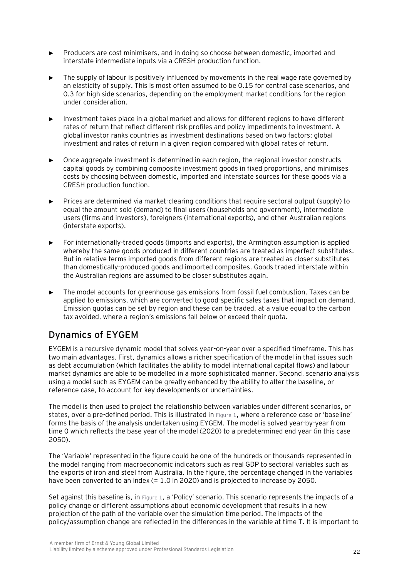- ► Producers are cost minimisers, and in doing so choose between domestic, imported and interstate intermediate inputs via a CRESH production function.
- The supply of labour is positively influenced by movements in the real wage rate governed by an elasticity of supply. This is most often assumed to be 0.15 for central case scenarios, and 0.3 for high side scenarios, depending on the employment market conditions for the region under consideration.
- ► Investment takes place in a global market and allows for different regions to have different rates of return that reflect different risk profiles and policy impediments to investment. A global investor ranks countries as investment destinations based on two factors: global investment and rates of return in a given region compared with global rates of return.
- Once aggregate investment is determined in each region, the regional investor constructs capital goods by combining composite investment goods in fixed proportions, and minimises costs by choosing between domestic, imported and interstate sources for these goods via a CRESH production function.
- Prices are determined via market-clearing conditions that require sectoral output (supply) to equal the amount sold (demand) to final users (households and government), intermediate users (firms and investors), foreigners (international exports), and other Australian regions (interstate exports).
- ► For internationally-traded goods (imports and exports), the Armington assumption is applied whereby the same goods produced in different countries are treated as imperfect substitutes. But in relative terms imported goods from different regions are treated as closer substitutes than domestically-produced goods and imported composites. Goods traded interstate within the Australian regions are assumed to be closer substitutes again.
- The model accounts for greenhouse gas emissions from fossil fuel combustion. Taxes can be applied to emissions, which are converted to good-specific sales taxes that impact on demand. Emission quotas can be set by region and these can be traded, at a value equal to the carbon tax avoided, where a region's emissions fall below or exceed their quota.

## **Dynamics of EYGEM**

EYGEM is a recursive dynamic model that solves year-on-year over a specified timeframe. This has two main advantages. First, dynamics allows a richer specification of the model in that issues such as debt accumulation (which facilitates the ability to model international capital flows) and labour market dynamics are able to be modelled in a more sophisticated manner. Second, scenario analysis using a model such as EYGEM can be greatly enhanced by the ability to alter the baseline, or reference case, to account for key developments or uncertainties.

The model is then used to project the relationship between variables under different scenarios, or states, over a pre-defined period. This is illustrated in [Figure 1](#page-23-0), where a reference case or 'baseline' forms the basis of the analysis undertaken using EYGEM. The model is solved year-by-year from time 0 which reflects the base year of the model (2020) to a predetermined end year (in this case 2050).

The 'Variable' represented in the figure could be one of the hundreds or thousands represented in the model ranging from macroeconomic indicators such as real GDP to sectoral variables such as the exports of iron and steel from Australia. In the figure, the percentage changed in the variables have been converted to an index (= 1.0 in 2020) and is projected to increase by 2050.

Set against this baseline is, in [Figure 1](#page-23-0), a 'Policy' scenario. This scenario represents the impacts of a policy change or different assumptions about economic development that results in a new projection of the path of the variable over the simulation time period. The impacts of the policy/assumption change are reflected in the differences in the variable at time T. It is important to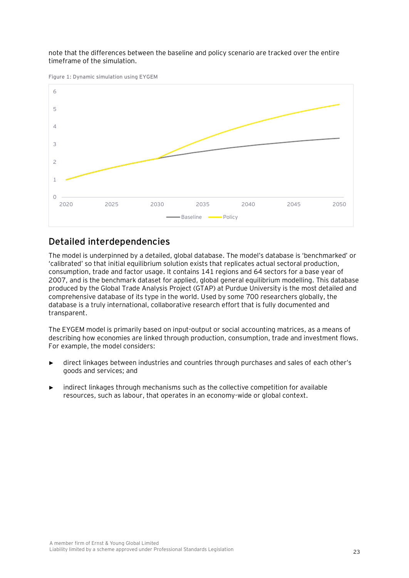note that the differences between the baseline and policy scenario are tracked over the entire timeframe of the simulation.

<span id="page-23-0"></span>**Figure 1: Dynamic simulation using EYGEM**



### **Detailed interdependencies**

The model is underpinned by a detailed, global database. The model's database is 'benchmarked' or 'calibrated' so that initial equilibrium solution exists that replicates actual sectoral production, consumption, trade and factor usage. It contains 141 regions and 64 sectors for a base year of 2007, and is the benchmark dataset for applied, global general equilibrium modelling. This database produced by the Global Trade Analysis Project (GTAP) at Purdue University is the most detailed and comprehensive database of its type in the world. Used by some 700 researchers globally, the database is a truly international, collaborative research effort that is fully documented and transparent.

The EYGEM model is primarily based on input-output or social accounting matrices, as a means of describing how economies are linked through production, consumption, trade and investment flows. For example, the model considers:

- direct linkages between industries and countries through purchases and sales of each other's goods and services; and
- indirect linkages through mechanisms such as the collective competition for available resources, such as labour, that operates in an economy-wide or global context.